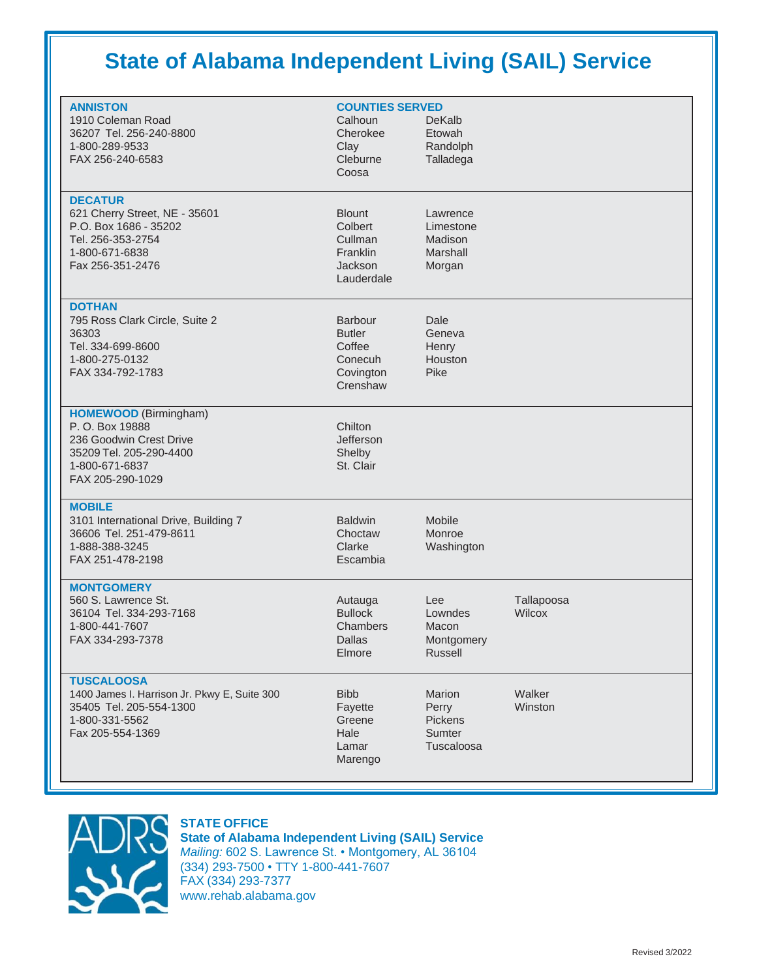# **State of Alabama Independent Living (SAIL) Service**

| <b>ANNISTON</b><br>1910 Coleman Road<br>36207 Tel. 256-240-8800<br>1-800-289-9533<br>FAX 256-240-6583                                       | <b>COUNTIES SERVED</b><br>Calhoun<br>Cherokee<br>Clay<br>Cleburne<br>Coosa    | DeKalb<br>Etowah<br>Randolph<br>Talladega              |                      |
|---------------------------------------------------------------------------------------------------------------------------------------------|-------------------------------------------------------------------------------|--------------------------------------------------------|----------------------|
| <b>DECATUR</b><br>621 Cherry Street, NE - 35601<br>P.O. Box 1686 - 35202<br>Tel. 256-353-2754<br>1-800-671-6838<br>Fax 256-351-2476         | <b>Blount</b><br>Colbert<br>Cullman<br>Franklin<br>Jackson<br>Lauderdale      | Lawrence<br>Limestone<br>Madison<br>Marshall<br>Morgan |                      |
| <b>DOTHAN</b><br>795 Ross Clark Circle, Suite 2<br>36303<br>Tel. 334-699-8600<br>1-800-275-0132<br>FAX 334-792-1783                         | <b>Barbour</b><br><b>Butler</b><br>Coffee<br>Conecuh<br>Covington<br>Crenshaw | Dale<br>Geneva<br>Henry<br>Houston<br>Pike             |                      |
| <b>HOMEWOOD</b> (Birmingham)<br>P. O. Box 19888<br>236 Goodwin Crest Drive<br>35209 Tel. 205-290-4400<br>1-800-671-6837<br>FAX 205-290-1029 | Chilton<br><b>Jefferson</b><br>Shelby<br>St. Clair                            |                                                        |                      |
| <b>MOBILE</b><br>3101 International Drive, Building 7<br>36606 Tel. 251-479-8611<br>1-888-388-3245<br>FAX 251-478-2198                      | <b>Baldwin</b><br>Choctaw<br>Clarke<br>Escambia                               | Mobile<br>Monroe<br>Washington                         |                      |
| <b>MONTGOMERY</b><br>560 S. Lawrence St.<br>36104 Tel. 334-293-7168<br>1-800-441-7607<br>FAX 334-293-7378                                   | Autauga<br><b>Bullock</b><br>Chambers<br>Dallas<br>Elmore                     | Lee<br>Lowndes<br>Macon<br>Montgomery<br>Russell       | Tallapoosa<br>Wilcox |
| <b>TUSCALOOSA</b><br>1400 James I. Harrison Jr. Pkwy E, Suite 300<br>35405 Tel. 205-554-1300<br>1-800-331-5562<br>Fax 205-554-1369          | <b>Bibb</b><br>Fayette<br>Greene<br>Hale<br>Lamar<br>Marengo                  | Marion<br>Perry<br>Pickens<br>Sumter<br>Tuscaloosa     | Walker<br>Winston    |



### **STATE OFFICE**

**State of Alabama Independent Living (SAIL) Service** *Mailing:* 602 S. Lawrence St. • Montgomery, AL 36104 (334) 293-7500 • TTY 1-800-441-7607 FAX (334) 293-7377 [www.rehab.alabama.gov](http://www.rehab.alabama.gov/)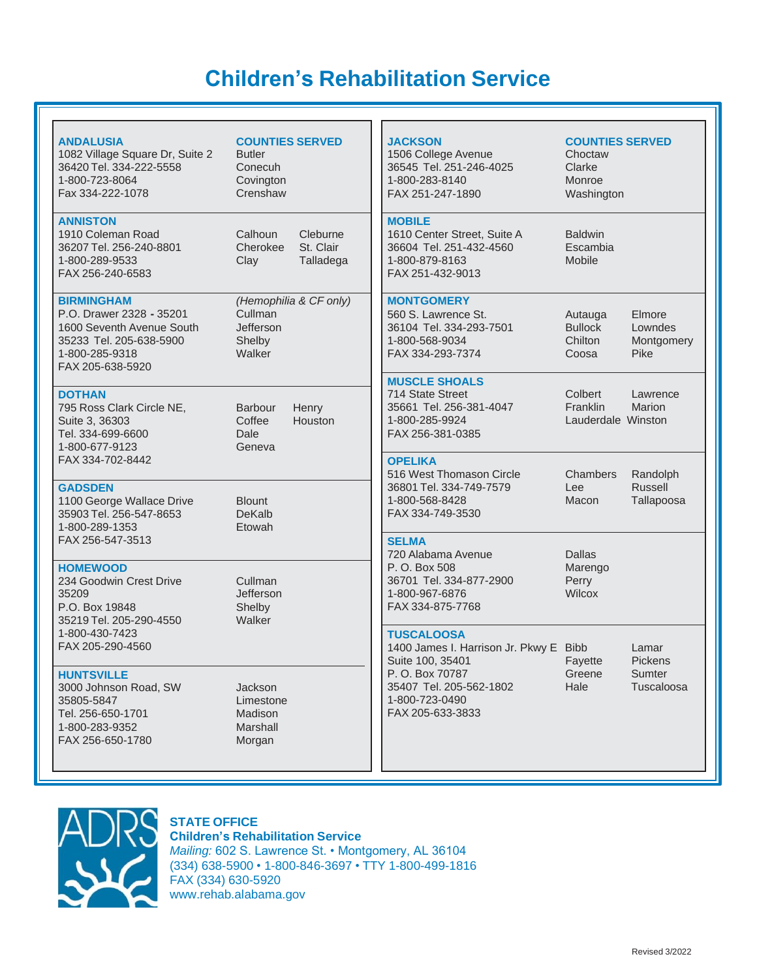# **Children's Rehabilitation Service**

| <b>ANDALUSIA</b><br>1082 Village Square Dr, Suite 2<br>36420 Tel. 334-222-5558<br>1-800-723-8064<br>Fax 334-222-1078                        | <b>COUNTIES SERVED</b><br><b>Butler</b><br>Conecuh<br>Covington<br>Crenshaw |                                    | <b>JACKSON</b><br>1506 College Avenue<br>36545 Tel. 251-246-4025<br>1-800-283-8140<br>FAX 251-247-1890                           | <b>COUNTIES SERVED</b><br>Choctaw<br>Clarke<br>Monroe<br>Washington |                                          |
|---------------------------------------------------------------------------------------------------------------------------------------------|-----------------------------------------------------------------------------|------------------------------------|----------------------------------------------------------------------------------------------------------------------------------|---------------------------------------------------------------------|------------------------------------------|
| <b>ANNISTON</b><br>1910 Coleman Road<br>36207 Tel. 256-240-8801<br>1-800-289-9533<br>FAX 256-240-6583                                       | Calhoun<br>Cherokee<br>Clay                                                 | Cleburne<br>St. Clair<br>Talladega | <b>MOBILE</b><br>1610 Center Street, Suite A<br>36604 Tel. 251-432-4560<br>1-800-879-8163<br>FAX 251-432-9013                    | <b>Baldwin</b><br>Escambia<br>Mobile                                |                                          |
| <b>BIRMINGHAM</b><br>P.O. Drawer 2328 - 35201<br>1600 Seventh Avenue South<br>35233 Tel. 205-638-5900<br>1-800-285-9318<br>FAX 205-638-5920 | Cullman<br>Jefferson<br>Shelby<br>Walker                                    | (Hemophilia & CF only)             | <b>MONTGOMERY</b><br>560 S. Lawrence St.<br>36104 Tel. 334-293-7501<br>1-800-568-9034<br>FAX 334-293-7374                        | Autauga<br><b>Bullock</b><br>Chilton<br>Coosa                       | Elmore<br>Lowndes<br>Montgomery<br>Pike  |
| <b>DOTHAN</b><br>795 Ross Clark Circle NE,<br>Suite 3, 36303<br>Tel. 334-699-6600<br>1-800-677-9123                                         | <b>Barbour</b><br>Coffee<br>Dale<br>Geneva                                  | Henry<br>Houston                   | <b>MUSCLE SHOALS</b><br>714 State Street<br>35661 Tel. 256-381-4047<br>1-800-285-9924<br>FAX 256-381-0385                        | Colbert<br>Franklin<br>Lauderdale Winston                           | Lawrence<br>Marion                       |
| FAX 334-702-8442<br><b>GADSDEN</b><br>1100 George Wallace Drive<br>35903 Tel. 256-547-8653<br>1-800-289-1353                                | <b>Blount</b><br><b>DeKalb</b><br>Etowah                                    |                                    | <b>OPELIKA</b><br>516 West Thomason Circle<br>36801 Tel. 334-749-7579<br>1-800-568-8428<br>FAX 334-749-3530                      | Chambers<br>Lee<br>Macon                                            | Randolph<br><b>Russell</b><br>Tallapoosa |
| FAX 256-547-3513                                                                                                                            |                                                                             |                                    | <b>SELMA</b><br>720 Alabama Avenue                                                                                               | <b>Dallas</b>                                                       |                                          |
| <b>HOMEWOOD</b><br>234 Goodwin Crest Drive<br>35209<br>P.O. Box 19848<br>35219 Tel. 205-290-4550                                            | Cullman<br>Jefferson<br>Shelby<br>Walker                                    |                                    | P. O. Box 508<br>Marengo<br>36701 Tel. 334-877-2900<br>Perry<br>1-800-967-6876<br>Wilcox<br>FAX 334-875-7768                     |                                                                     |                                          |
| 1-800-430-7423<br>FAX 205-290-4560                                                                                                          |                                                                             |                                    | <b>TUSCALOOSA</b><br>1400 James I. Harrison Jr. Pkwy E Bibb                                                                      | Lamar                                                               |                                          |
| <b>HUNTSVILLE</b><br>3000 Johnson Road, SW<br>35805-5847<br>Tel. 256-650-1701<br>1-800-283-9352<br>FAX 256-650-1780                         | Jackson<br>Limestone<br>Madison<br>Marshall<br>Morgan                       |                                    | Suite 100, 35401<br>Fayette<br>P.O. Box 70787<br>Greene<br>35407 Tel. 205-562-1802<br>Hale<br>1-800-723-0490<br>FAX 205-633-3833 |                                                                     | <b>Pickens</b><br>Sumter<br>Tuscaloosa   |



## **STATE OFFICE**

**Children's Rehabilitation Service** *Mailing:* 602 S. Lawrence St. • Montgomery, AL 36104 (334) 638-5900 • 1-800-846-3697 • TTY 1-800-499-1816 FAX (334) 630-5920 [www.rehab.alabama.gov](http://www.rehab.alabama.gov/)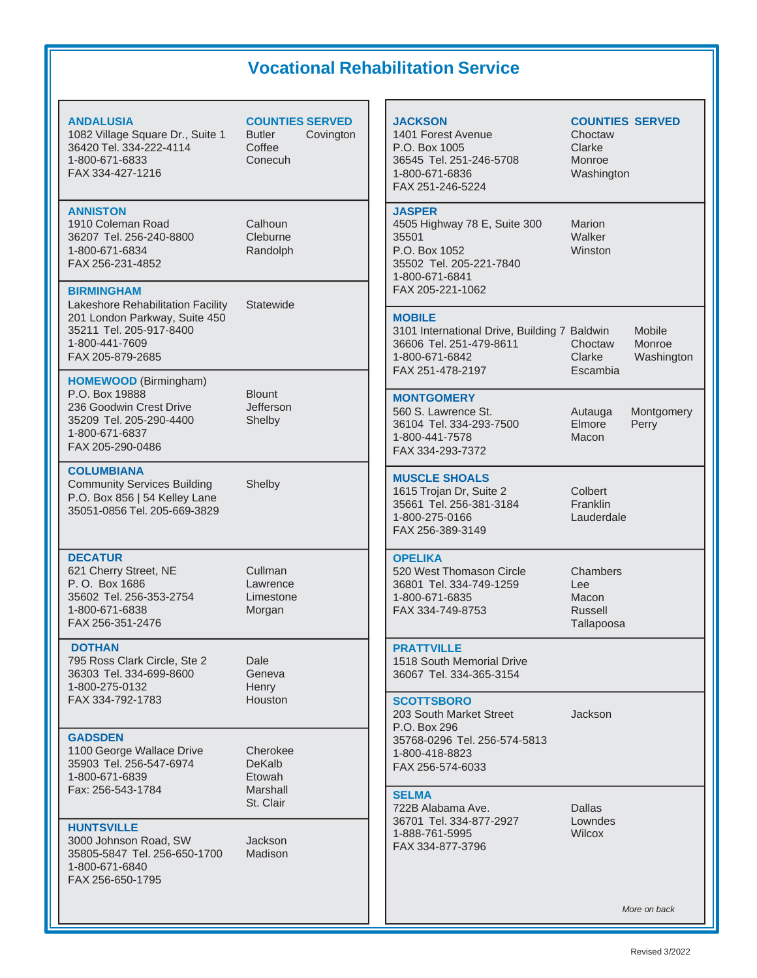## **Vocational Rehabilitation Service**

#### **JACKSON COUNTIES SERVED** 1401 Forest Avenue **Choctaw** P.O. Box 1005 Clarke 36545 Tel. 251-246-5708 Monroe 1-800-671-6836 Washington FAX 251-246-5224 **JASPER** 4505 Highway 78 E, Suite 300 Marion 35501 Walker P.O. Box 1052 Winston 35502 Tel. 205-221-7840 1-800-671-6841 FAX 205-221-1062 **MOBILE** 3101 International Drive, Building 7 Baldwin Mobile 36606 Tel. 251-479-8611 Choctaw Monroe 1-800-671-6842 Clarke Washington FAX 251-478-2197 Escambia **MONTGOMERY** 560 S. Lawrence St. **Autauga** Montgomery 36104 Tel. 334-293-7500 Elmore Perry 1-800-441-7578 Macon FAX 334-293-7372 **MUSCLE SHOALS** 1615 Trojan Dr, Suite 2 Colbert<br>35661 Tel. 256-381-3184 Franklin 35661 Tel. 256-381-3184 1-800-275-0166 Lauderdale FAX 256-389-3149 **OPELIKA** 520 West Thomason Circle Chambers 36801 Tel. 334-749-1259 Lee 1-800-671-6835 Macon FAX 334-749-8753 Russell Tallapoosa **PRATTVILLE** 1518 South Memorial Drive 36067 Tel. 334-365-3154 **SCOTTSBORO** 203 South Market Street **Jackson** P.O. Box 296 35768-0296 Tel. 256-574-5813 1-800-418-8823 FAX 256-574-6033 **SELMA** 722B Alabama Ave. Dallas 36701 Tel. 334-877-2927 Lowndes 1-888-761-5995 Wilcox FAX 334-877-3796 *More on back* **ANDALUSIA COUNTIES SERVED** 1082 Village Square Dr., Suite 1 Butler Covington 36420 Tel. 334-222-4114 Coffee 1-800-671-6833 Conecuh FAX 334-427-1216 **ANNISTON** 1910 Coleman Road Calhoun 36207 Tel. 256-240-8800 Cleburne 1-800-671-6834 Randolph FAX 256-231-4852 **BIRMINGHAM** Lakeshore Rehabilitation Facility Statewide 201 London Parkway, Suite 450 35211 Tel. 205-917-8400 1-800-441-7609 FAX 205-879-2685 **HOMEWOOD** (Birmingham) P.O. Box 19888 Blount 236 Goodwin Crest Drive **Jefferson** 35209 Tel. 205-290-4400 Shelby 1-800-671-6837 FAX 205-290-0486 **COLUMBIANA** Community Services Building Shelby P.O. Box 856 | 54 Kelley Lane 35051-0856 Tel. 205-669-3829 **DECATUR** 621 Cherry Street, NE Cullman P.O. Box 1686 Lawrence 35602 Tel. 256-353-2754 Limestone 1-800-671-6838 Morgan FAX 256-351-2476 **DOTHAN** 795 Ross Clark Circle, Ste 2 Dale 36303 Tel. 334-699-8600 Geneva 1-800-275-0132 Henry FAX 334-792-1783 Houston **GADSDEN** 1100 George Wallace Drive Cherokee<br>35903 Tel. 256-547-6974 DeKalb 35903 Tel. 256-547-6974 1-800-671-6839 Etowah Fax: 256-543-1784 Marshall St. Clair **HUNTSVILLE** 3000 Johnson Road, SW Jackson 35805-5847 Tel. 256-650-1700 Madison 1-800-671-6840 FAX 256-650-1795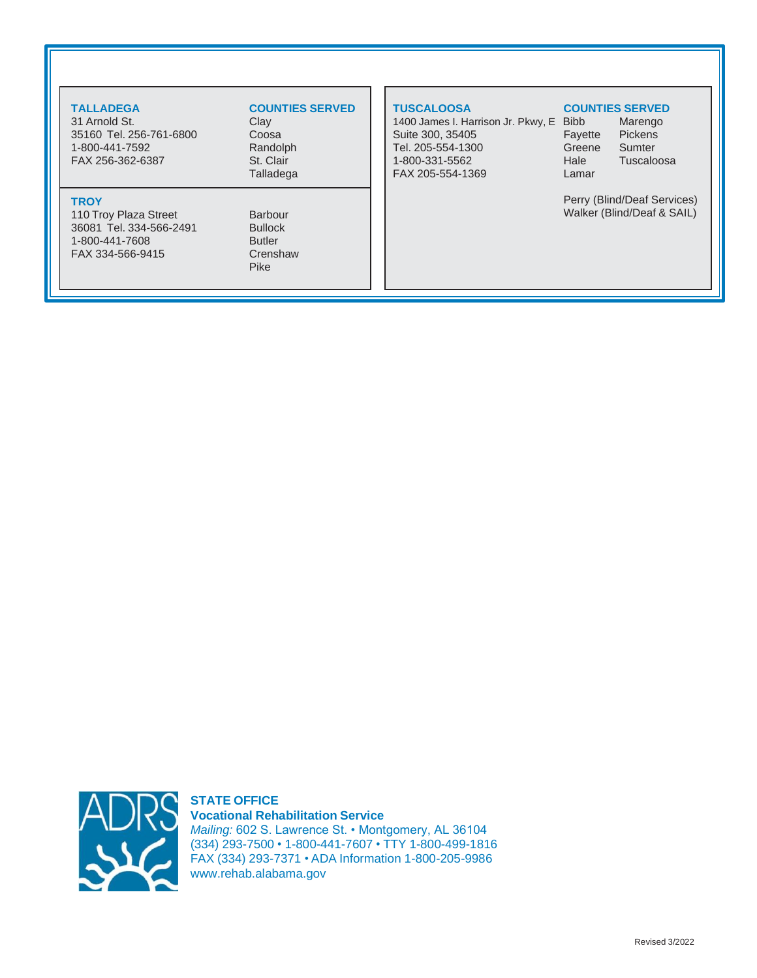31 Arnold St. 35160 Tel. 256-761-6800 Coosa 1-800-441-7592 Randolph FAX 256-362-6387 St. Clair

### **TROY**

110 Troy Plaza Street Barbour 36081 Tel. 334-566-2491 Bullock 1-800-441-7608 Butler FAX 334-566-9415 Crenshaw

## **TALLADEGA COUNTIES SERVED**

Talladega

Pike

1400 James I. Harrison Jr. Pkwy, E Bibb Marengo Suite 300, 35405 Fayette Pickens Tel. 205-554-1300 Greene Sumter 1-800-331-5562 Hale Tuscaloosa FAX 205-554-1369 Lamar

#### **TUSCALOOSA COUNTIES SERVED**

Perry (Blind/Deaf Services) Walker (Blind/Deaf & SAIL)



**STATE OFFICE Vocational Rehabilitation Service** *Mailing:* 602 S. Lawrence St. • Montgomery, AL 36104 (334) 293-7500 • 1-800-441-7607 • TTY 1-800-499-1816 FAX (334) 293-7371 • ADA Information 1-800-205-9986 [www.rehab.alabama.gov](http://www.rehab.alabama.gov/)